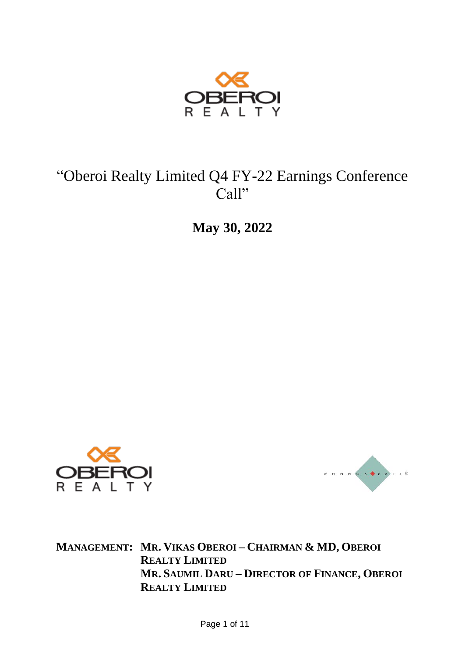

# "Oberoi Realty Limited Q4 FY-22 Earnings Conference Call"

**May 30, 2022**





**MANAGEMENT: MR. VIKAS OBEROI – CHAIRMAN & MD, OBEROI REALTY LIMITED MR. SAUMIL DARU – DIRECTOR OF FINANCE, OBEROI REALTY LIMITED**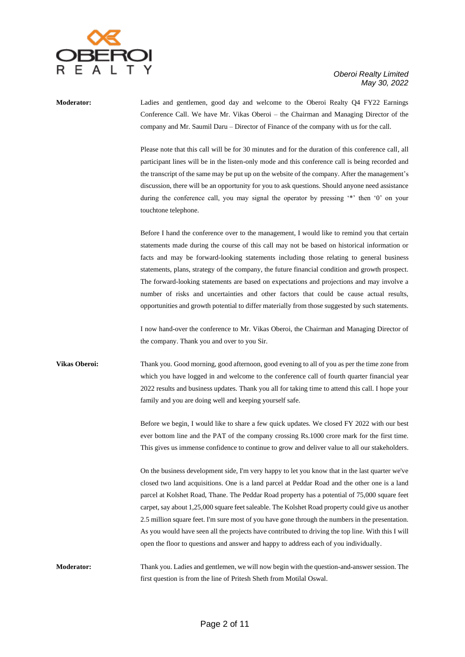

**Moderator:** Ladies and gentlemen, good day and welcome to the Oberoi Realty Q4 FY22 Earnings Conference Call. We have Mr. Vikas Oberoi – the Chairman and Managing Director of the company and Mr. Saumil Daru – Director of Finance of the company with us for the call.

> Please note that this call will be for 30 minutes and for the duration of this conference call, all participant lines will be in the listen-only mode and this conference call is being recorded and the transcript of the same may be put up on the website of the company. After the management's discussion, there will be an opportunity for you to ask questions. Should anyone need assistance during the conference call, you may signal the operator by pressing '\*' then '0' on your touchtone telephone.

> Before I hand the conference over to the management, I would like to remind you that certain statements made during the course of this call may not be based on historical information or facts and may be forward-looking statements including those relating to general business statements, plans, strategy of the company, the future financial condition and growth prospect. The forward-looking statements are based on expectations and projections and may involve a number of risks and uncertainties and other factors that could be cause actual results, opportunities and growth potential to differ materially from those suggested by such statements.

> I now hand-over the conference to Mr. Vikas Oberoi, the Chairman and Managing Director of the company. Thank you and over to you Sir.

**Vikas Oberoi:** Thank you. Good morning, good afternoon, good evening to all of you as per the time zone from which you have logged in and welcome to the conference call of fourth quarter financial year 2022 results and business updates. Thank you all for taking time to attend this call. I hope your family and you are doing well and keeping yourself safe.

> Before we begin, I would like to share a few quick updates. We closed FY 2022 with our best ever bottom line and the PAT of the company crossing Rs.1000 crore mark for the first time. This gives us immense confidence to continue to grow and deliver value to all our stakeholders.

> On the business development side, I'm very happy to let you know that in the last quarter we've closed two land acquisitions. One is a land parcel at Peddar Road and the other one is a land parcel at Kolshet Road, Thane. The Peddar Road property has a potential of 75,000 square feet carpet, say about 1,25,000 square feet saleable. The Kolshet Road property could give us another 2.5 million square feet. I'm sure most of you have gone through the numbers in the presentation. As you would have seen all the projects have contributed to driving the top line. With this I will open the floor to questions and answer and happy to address each of you individually.

**Moderator:** Thank you. Ladies and gentlemen, we will now begin with the question-and-answer session. The first question is from the line of Pritesh Sheth from Motilal Oswal.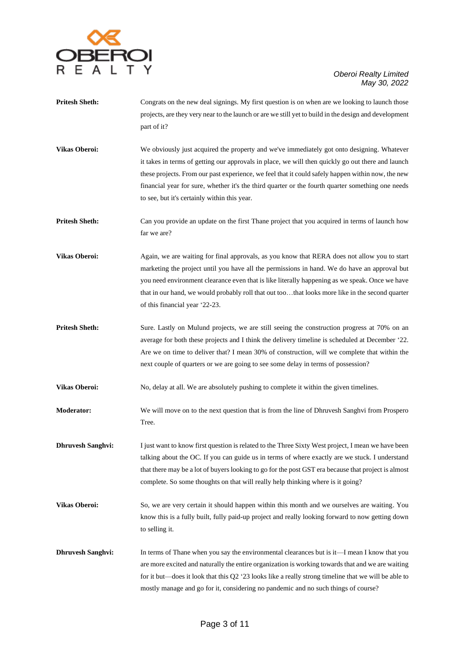

- **Pritesh Sheth:** Congrats on the new deal signings. My first question is on when are we looking to launch those projects, are they very near to the launch or are we still yet to build in the design and development part of it?
- **Vikas Oberoi:** We obviously just acquired the property and we've immediately got onto designing. Whatever it takes in terms of getting our approvals in place, we will then quickly go out there and launch these projects. From our past experience, we feel that it could safely happen within now, the new financial year for sure, whether it's the third quarter or the fourth quarter something one needs to see, but it's certainly within this year.
- **Pritesh Sheth:** Can you provide an update on the first Thane project that you acquired in terms of launch how far we are?
- **Vikas Oberoi:** Again, we are waiting for final approvals, as you know that RERA does not allow you to start marketing the project until you have all the permissions in hand. We do have an approval but you need environment clearance even that is like literally happening as we speak. Once we have that in our hand, we would probably roll that out too…that looks more like in the second quarter of this financial year '22-23.
- **Pritesh Sheth:** Sure. Lastly on Mulund projects, we are still seeing the construction progress at 70% on an average for both these projects and I think the delivery timeline is scheduled at December '22. Are we on time to deliver that? I mean 30% of construction, will we complete that within the next couple of quarters or we are going to see some delay in terms of possession?

**Vikas Oberoi:** No, delay at all. We are absolutely pushing to complete it within the given timelines.

- **Moderator:** We will move on to the next question that is from the line of Dhruvesh Sanghvi from Prospero Tree.
- **Dhruvesh Sanghvi:** I just want to know first question is related to the Three Sixty West project, I mean we have been talking about the OC. If you can guide us in terms of where exactly are we stuck. I understand that there may be a lot of buyers looking to go for the post GST era because that project is almost complete. So some thoughts on that will really help thinking where is it going?
- **Vikas Oberoi:** So, we are very certain it should happen within this month and we ourselves are waiting. You know this is a fully built, fully paid-up project and really looking forward to now getting down to selling it.
- **Dhruvesh Sanghvi:** In terms of Thane when you say the environmental clearances but is it—I mean I know that you are more excited and naturally the entire organization is working towards that and we are waiting for it but—does it look that this Q2 '23 looks like a really strong timeline that we will be able to mostly manage and go for it, considering no pandemic and no such things of course?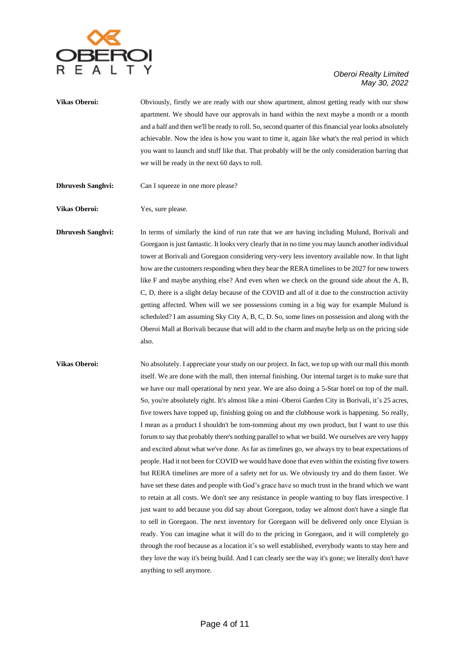

**Vikas Oberoi:** Obviously, firstly we are ready with our show apartment, almost getting ready with our show apartment. We should have our approvals in hand within the next maybe a month or a month and a half and then we'll be ready to roll. So, second quarter of this financial year looks absolutely achievable. Now the idea is how you want to time it, again like what's the real period in which you want to launch and stuff like that. That probably will be the only consideration barring that we will be ready in the next 60 days to roll.

**Dhruvesh Sanghvi:** Can I squeeze in one more please?

**Vikas Oberoi:** Yes, sure please.

**Dhruvesh Sanghvi:** In terms of similarly the kind of run rate that we are having including Mulund, Borivali and Goregaon is just fantastic. It looks very clearly that in no time you may launch another individual tower at Borivali and Goregaon considering very-very less inventory available now. In that light how are the customers responding when they hear the RERA timelines to be 2027 for new towers like F and maybe anything else? And even when we check on the ground side about the A, B, C, D, there is a slight delay because of the COVID and all of it due to the construction activity getting affected. When will we see possessions coming in a big way for example Mulund is scheduled? I am assuming Sky City A, B, C, D. So, some lines on possession and along with the Oberoi Mall at Borivali because that will add to the charm and maybe help us on the pricing side also.

**Vikas Oberoi:** No absolutely. I appreciate your study on our project. In fact, we top up with our mall this month itself. We are done with the mall, then internal finishing. Our internal target is to make sure that we have our mall operational by next year. We are also doing a 5-Star hotel on top of the mall. So, you're absolutely right. It's almost like a mini–Oberoi Garden City in Borivali, it's 25 acres, five towers have topped up, finishing going on and the clubhouse work is happening. So really, I mean as a product I shouldn't be tom-tomming about my own product, but I want to use this forum to say that probably there's nothing parallel to what we build. We ourselves are very happy and excited about what we've done. As far as timelines go, we always try to beat expectations of people. Had it not been for COVID we would have done that even within the existing five towers but RERA timelines are more of a safety net for us. We obviously try and do them faster. We have set these dates and people with God's grace have so much trust in the brand which we want to retain at all costs. We don't see any resistance in people wanting to buy flats irrespective. I just want to add because you did say about Goregaon, today we almost don't have a single flat to sell in Goregaon. The next inventory for Goregaon will be delivered only once Elysian is ready. You can imagine what it will do to the pricing in Goregaon, and it will completely go through the roof because as a location it's so well established, everybody wants to stay here and they love the way it's being build. And I can clearly see the way it's gone; we literally don't have anything to sell anymore.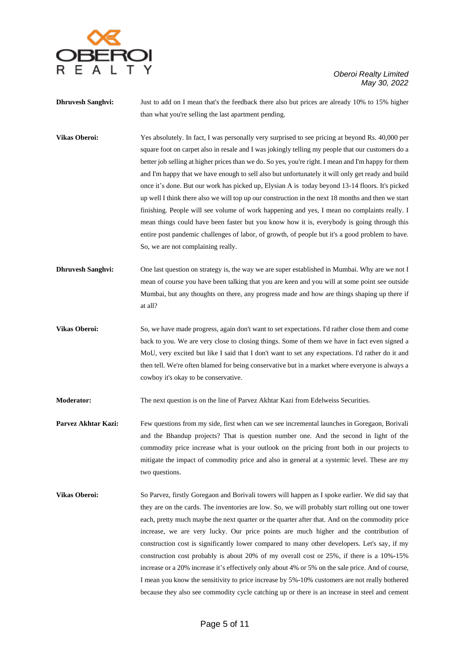

**Dhruvesh Sanghvi:** Just to add on I mean that's the feedback there also but prices are already 10% to 15% higher than what you're selling the last apartment pending.

**Vikas Oberoi:** Yes absolutely. In fact, I was personally very surprised to see pricing at beyond Rs. 40,000 per square foot on carpet also in resale and I was jokingly telling my people that our customers do a better job selling at higher prices than we do. So yes, you're right. I mean and I'm happy for them and I'm happy that we have enough to sell also but unfortunately it will only get ready and build once it's done. But our work has picked up, Elysian A is today beyond 13-14 floors. It's picked up well I think there also we will top up our construction in the next 18 months and then we start finishing. People will see volume of work happening and yes, I mean no complaints really. I mean things could have been faster but you know how it is, everybody is going through this entire post pandemic challenges of labor, of growth, of people but it's a good problem to have. So, we are not complaining really.

- **Dhruvesh Sanghvi:** One last question on strategy is, the way we are super established in Mumbai. Why are we not I mean of course you have been talking that you are keen and you will at some point see outside Mumbai, but any thoughts on there, any progress made and how are things shaping up there if at all?
- **Vikas Oberoi:** So, we have made progress, again don't want to set expectations. I'd rather close them and come back to you. We are very close to closing things. Some of them we have in fact even signed a MoU, very excited but like I said that I don't want to set any expectations. I'd rather do it and then tell. We're often blamed for being conservative but in a market where everyone is always a cowboy it's okay to be conservative.

**Moderator:** The next question is on the line of Parvez Akhtar Kazi from Edelweiss Securities.

- **Parvez Akhtar Kazi:** Few questions from my side, first when can we see incremental launches in Goregaon, Borivali and the Bhandup projects? That is question number one. And the second in light of the commodity price increase what is your outlook on the pricing front both in our projects to mitigate the impact of commodity price and also in general at a systemic level. These are my two questions.
- **Vikas Oberoi:** So Parvez, firstly Goregaon and Borivali towers will happen as I spoke earlier. We did say that they are on the cards. The inventories are low. So, we will probably start rolling out one tower each, pretty much maybe the next quarter or the quarter after that. And on the commodity price increase, we are very lucky. Our price points are much higher and the contribution of construction cost is significantly lower compared to many other developers. Let's say, if my construction cost probably is about 20% of my overall cost or 25%, if there is a 10%-15% increase or a 20% increase it's effectively only about 4% or 5% on the sale price. And of course, I mean you know the sensitivity to price increase by 5%-10% customers are not really bothered because they also see commodity cycle catching up or there is an increase in steel and cement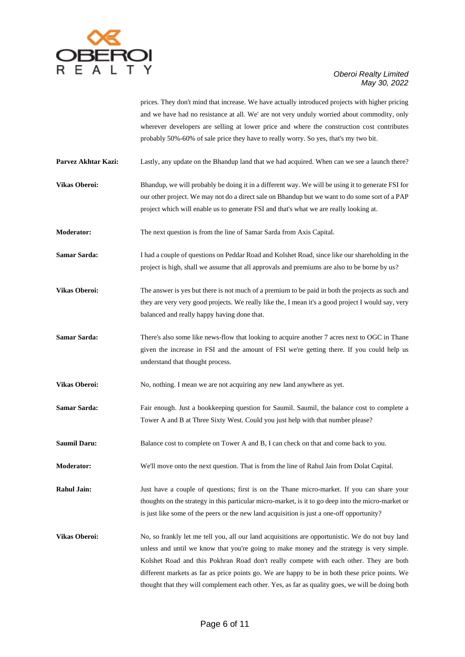

prices. They don't mind that increase. We have actually introduced projects with higher pricing and we have had no resistance at all. We' are not very unduly worried about commodity, only wherever developers are selling at lower price and where the construction cost contributes probably 50%-60% of sale price they have to really worry. So yes, that's my two bit.

**Parvez Akhtar Kazi:** Lastly, any update on the Bhandup land that we had acquired. When can we see a launch there?

**Vikas Oberoi:** Bhandup, we will probably be doing it in a different way. We will be using it to generate FSI for our other project. We may not do a direct sale on Bhandup but we want to do some sort of a PAP project which will enable us to generate FSI and that's what we are really looking at.

**Moderator:** The next question is from the line of Samar Sarda from Axis Capital.

**Samar Sarda:** I had a couple of questions on Peddar Road and Kolshet Road, since like our shareholding in the project is high, shall we assume that all approvals and premiums are also to be borne by us?

**Vikas Oberoi:** The answer is yes but there is not much of a premium to be paid in both the projects as such and they are very very good projects. We really like the, I mean it's a good project I would say, very balanced and really happy having done that.

**Samar Sarda:** There's also some like news-flow that looking to acquire another 7 acres next to OGC in Thane given the increase in FSI and the amount of FSI we're getting there. If you could help us understand that thought process.

**Vikas Oberoi:** No, nothing. I mean we are not acquiring any new land anywhere as yet.

**Samar Sarda:** Fair enough. Just a bookkeeping question for Saumil. Saumil, the balance cost to complete a Tower A and B at Three Sixty West. Could you just help with that number please?

**Saumil Daru:** Balance cost to complete on Tower A and B, I can check on that and come back to you.

**Moderator:** We'll move onto the next question. That is from the line of Rahul Jain from Dolat Capital.

**Rahul Jain:** Just have a couple of questions; first is on the Thane micro-market. If you can share your thoughts on the strategy in this particular micro-market, is it to go deep into the micro-market or is just like some of the peers or the new land acquisition is just a one-off opportunity?

**Vikas Oberoi:** No, so frankly let me tell you, all our land acquisitions are opportunistic. We do not buy land unless and until we know that you're going to make money and the strategy is very simple. Kolshet Road and this Pokhran Road don't really compete with each other. They are both different markets as far as price points go. We are happy to be in both these price points. We thought that they will complement each other. Yes, as far as quality goes, we will be doing both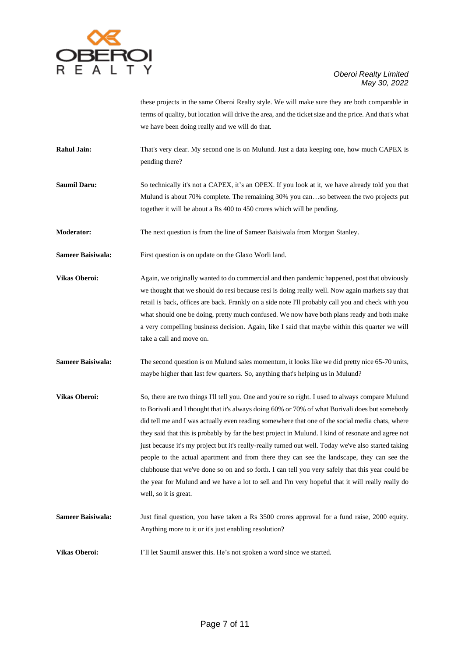

these projects in the same Oberoi Realty style. We will make sure they are both comparable in terms of quality, but location will drive the area, and the ticket size and the price. And that's what we have been doing really and we will do that.

**Rahul Jain:** That's very clear. My second one is on Mulund. Just a data keeping one, how much CAPEX is pending there?

**Saumil Daru:** So technically it's not a CAPEX, it's an OPEX. If you look at it, we have already told you that Mulund is about 70% complete. The remaining 30% you can…so between the two projects put together it will be about a Rs 400 to 450 crores which will be pending.

**Moderator:** The next question is from the line of Sameer Baisiwala from Morgan Stanley.

**Sameer Baisiwala:** First question is on update on the Glaxo Worli land.

**Vikas Oberoi:** Again, we originally wanted to do commercial and then pandemic happened, post that obviously we thought that we should do resi because resi is doing really well. Now again markets say that retail is back, offices are back. Frankly on a side note I'll probably call you and check with you what should one be doing, pretty much confused. We now have both plans ready and both make a very compelling business decision. Again, like I said that maybe within this quarter we will take a call and move on.

**Sameer Baisiwala:** The second question is on Mulund sales momentum, it looks like we did pretty nice 65-70 units, maybe higher than last few quarters. So, anything that's helping us in Mulund?

**Vikas Oberoi:** So, there are two things I'll tell you. One and you're so right. I used to always compare Mulund to Borivali and I thought that it's always doing 60% or 70% of what Borivali does but somebody did tell me and I was actually even reading somewhere that one of the social media chats, where they said that this is probably by far the best project in Mulund. I kind of resonate and agree not just because it's my project but it's really-really turned out well. Today we've also started taking people to the actual apartment and from there they can see the landscape, they can see the clubhouse that we've done so on and so forth. I can tell you very safely that this year could be the year for Mulund and we have a lot to sell and I'm very hopeful that it will really really do well, so it is great.

**Sameer Baisiwala:** Just final question, you have taken a Rs 3500 crores approval for a fund raise, 2000 equity. Anything more to it or it's just enabling resolution?

**Vikas Oberoi:** I'll let Saumil answer this. He's not spoken a word since we started.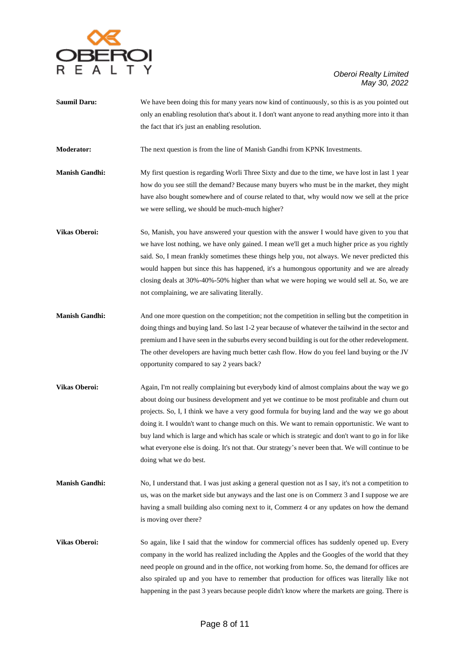

- **Saumil Daru:** We have been doing this for many years now kind of continuously, so this is as you pointed out only an enabling resolution that's about it. I don't want anyone to read anything more into it than the fact that it's just an enabling resolution.
- **Moderator:** The next question is from the line of Manish Gandhi from KPNK Investments.
- **Manish Gandhi:** My first question is regarding Worli Three Sixty and due to the time, we have lost in last 1 year how do you see still the demand? Because many buyers who must be in the market, they might have also bought somewhere and of course related to that, why would now we sell at the price we were selling, we should be much-much higher?
- **Vikas Oberoi:** So, Manish, you have answered your question with the answer I would have given to you that we have lost nothing, we have only gained. I mean we'll get a much higher price as you rightly said. So, I mean frankly sometimes these things help you, not always. We never predicted this would happen but since this has happened, it's a humongous opportunity and we are already closing deals at 30%-40%-50% higher than what we were hoping we would sell at. So, we are not complaining, we are salivating literally.
- **Manish Gandhi:** And one more question on the competition; not the competition in selling but the competition in doing things and buying land. So last 1-2 year because of whatever the tailwind in the sector and premium and I have seen in the suburbs every second building is out for the other redevelopment. The other developers are having much better cash flow. How do you feel land buying or the JV opportunity compared to say 2 years back?
- **Vikas Oberoi:** Again, I'm not really complaining but everybody kind of almost complains about the way we go about doing our business development and yet we continue to be most profitable and churn out projects. So, I, I think we have a very good formula for buying land and the way we go about doing it. I wouldn't want to change much on this. We want to remain opportunistic. We want to buy land which is large and which has scale or which is strategic and don't want to go in for like what everyone else is doing. It's not that. Our strategy's never been that. We will continue to be doing what we do best.
- **Manish Gandhi:** No, I understand that. I was just asking a general question not as I say, it's not a competition to us, was on the market side but anyways and the last one is on Commerz 3 and I suppose we are having a small building also coming next to it, Commerz 4 or any updates on how the demand is moving over there?
- **Vikas Oberoi:** So again, like I said that the window for commercial offices has suddenly opened up. Every company in the world has realized including the Apples and the Googles of the world that they need people on ground and in the office, not working from home. So, the demand for offices are also spiraled up and you have to remember that production for offices was literally like not happening in the past 3 years because people didn't know where the markets are going. There is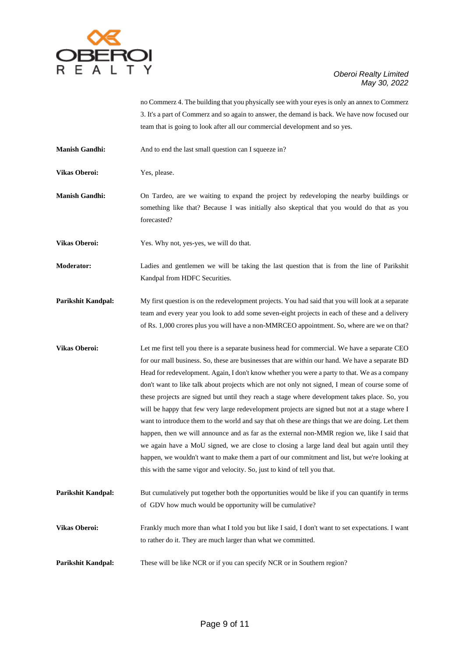

no Commerz 4. The building that you physically see with your eyes is only an annex to Commerz 3. It's a part of Commerz and so again to answer, the demand is back. We have now focused our team that is going to look after all our commercial development and so yes.

**Manish Gandhi:** And to end the last small question can I squeeze in?

**Vikas Oberoi:** Yes, please.

**Manish Gandhi:** On Tardeo, are we waiting to expand the project by redeveloping the nearby buildings or something like that? Because I was initially also skeptical that you would do that as you forecasted?

**Vikas Oberoi:** Yes. Why not, yes-yes, we will do that.

**Moderator:** Ladies and gentlemen we will be taking the last question that is from the line of Parikshit Kandpal from HDFC Securities.

**Parikshit Kandpal:** My first question is on the redevelopment projects. You had said that you will look at a separate team and every year you look to add some seven-eight projects in each of these and a delivery of Rs. 1,000 crores plus you will have a non-MMRCEO appointment. So, where are we on that?

**Vikas Oberoi:** Let me first tell you there is a separate business head for commercial. We have a separate CEO for our mall business. So, these are businesses that are within our hand. We have a separate BD Head for redevelopment. Again, I don't know whether you were a party to that. We as a company don't want to like talk about projects which are not only not signed, I mean of course some of these projects are signed but until they reach a stage where development takes place. So, you will be happy that few very large redevelopment projects are signed but not at a stage where I want to introduce them to the world and say that oh these are things that we are doing. Let them happen, then we will announce and as far as the external non-MMR region we, like I said that we again have a MoU signed, we are close to closing a large land deal but again until they happen, we wouldn't want to make them a part of our commitment and list, but we're looking at this with the same vigor and velocity. So, just to kind of tell you that.

**Parikshit Kandpal:** But cumulatively put together both the opportunities would be like if you can quantify in terms of GDV how much would be opportunity will be cumulative?

**Vikas Oberoi:** Frankly much more than what I told you but like I said, I don't want to set expectations. I want to rather do it. They are much larger than what we committed.

**Parikshit Kandpal:** These will be like NCR or if you can specify NCR or in Southern region?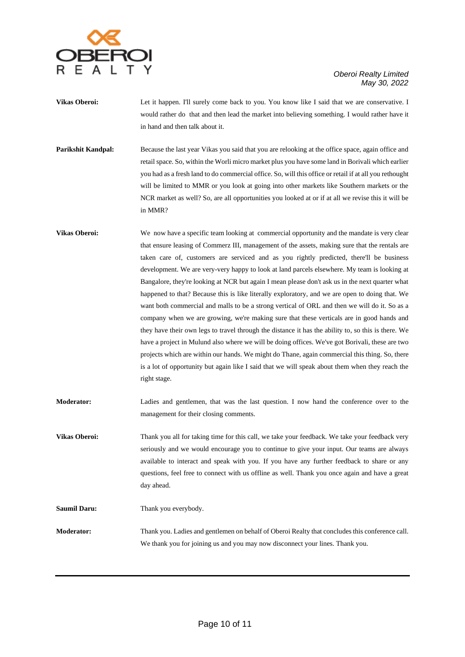

- **Vikas Oberoi:** Let it happen. I'll surely come back to you. You know like I said that we are conservative. I would rather do that and then lead the market into believing something. I would rather have it in hand and then talk about it.
- **Parikshit Kandpal:** Because the last year Vikas you said that you are relooking at the office space, again office and retail space. So, within the Worli micro market plus you have some land in Borivali which earlier you had as a fresh land to do commercial office. So, will this office or retail if at all you rethought will be limited to MMR or you look at going into other markets like Southern markets or the NCR market as well? So, are all opportunities you looked at or if at all we revise this it will be in MMR?
- **Vikas Oberoi:** We now have a specific team looking at commercial opportunity and the mandate is very clear that ensure leasing of Commerz III, management of the assets, making sure that the rentals are taken care of, customers are serviced and as you rightly predicted, there'll be business development. We are very-very happy to look at land parcels elsewhere. My team is looking at Bangalore, they're looking at NCR but again I mean please don't ask us in the next quarter what happened to that? Because this is like literally exploratory, and we are open to doing that. We want both commercial and malls to be a strong vertical of ORL and then we will do it. So as a company when we are growing, we're making sure that these verticals are in good hands and they have their own legs to travel through the distance it has the ability to, so this is there. We have a project in Mulund also where we will be doing offices. We've got Borivali, these are two projects which are within our hands. We might do Thane, again commercial this thing. So, there is a lot of opportunity but again like I said that we will speak about them when they reach the right stage.
- **Moderator:** Ladies and gentlemen, that was the last question. I now hand the conference over to the management for their closing comments.
- Vikas Oberoi: Thank you all for taking time for this call, we take your feedback. We take your feedback very seriously and we would encourage you to continue to give your input. Our teams are always available to interact and speak with you. If you have any further feedback to share or any questions, feel free to connect with us offline as well. Thank you once again and have a great day ahead.

Saumil Daru: Thank you everybody.

**Moderator:** Thank you. Ladies and gentlemen on behalf of Oberoi Realty that concludes this conference call. We thank you for joining us and you may now disconnect your lines. Thank you.